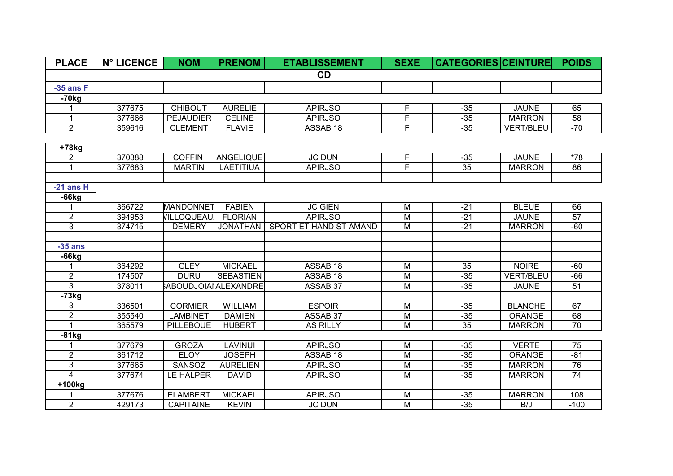| <b>PLACE</b>        | <b>N° LICENCE</b> | <b>NOM</b>                        | <b>PRENOM</b>                   | <b>ETABLISSEMENT</b>      | <b>SEXE</b>    | <b>CATEGORIES CEINTURE</b> |                                 | <b>POIDS</b>    |
|---------------------|-------------------|-----------------------------------|---------------------------------|---------------------------|----------------|----------------------------|---------------------------------|-----------------|
|                     |                   |                                   |                                 | <b>CD</b>                 |                |                            |                                 |                 |
| $-35$ ans $F$       |                   |                                   |                                 |                           |                |                            |                                 |                 |
| $-70kg$             |                   |                                   |                                 |                           |                |                            |                                 |                 |
|                     | 377675            | <b>CHIBOUT</b>                    | <b>AURELIE</b>                  | <b>APIRJSO</b>            | F              | $-35$                      | <b>JAUNE</b>                    | 65              |
| 1                   | 377666            | <b>PEJAUDIER</b>                  | <b>CELINE</b>                   | <b>APIRJSO</b>            | F              | $-35$                      | <b>MARRON</b>                   | $\overline{58}$ |
| $\overline{2}$      | 359616            | <b>CLEMENT</b>                    | <b>FLAVIE</b>                   | ASSAB <sub>18</sub>       | F              | $-35$                      | <b>VERT/BLEU</b>                | $-70$           |
|                     |                   |                                   |                                 |                           |                |                            |                                 |                 |
| $+78kg$             |                   |                                   |                                 |                           |                |                            |                                 |                 |
| $\overline{2}$      | 370388            | <b>COFFIN</b>                     | ANGELIQUE                       | <b>JC DUN</b>             | F              | $-35$                      | <b>JAUNE</b>                    | $*78$           |
| 1                   | 377683            | <b>MARTIN</b>                     | <b>LAETITIUA</b>                | <b>APIRJSO</b>            | F              | 35                         | <b>MARRON</b>                   | 86              |
|                     |                   |                                   |                                 |                           |                |                            |                                 |                 |
| $-21$ ans H         |                   |                                   |                                 |                           |                |                            |                                 |                 |
| $-66kg$             |                   |                                   |                                 |                           |                |                            |                                 |                 |
|                     | 366722            | MANDONNET                         | <b>FABIEN</b>                   | <b>JC GIEN</b>            | M              | $-21$                      | <b>BLEUE</b>                    | 66              |
| $\overline{2}$      | 394953            | VILLOQUEAU                        | <b>FLORIAN</b>                  | <b>APIRJSO</b>            | M              | $-21$                      | <b>JAUNE</b>                    | 57              |
| 3                   | 374715            | <b>DEMERY</b>                     | <b>JONATHAN</b>                 | SPORT ET HAND ST AMAND    | M              | $-21$                      | <b>MARRON</b>                   | $-60$           |
|                     |                   |                                   |                                 |                           |                |                            |                                 |                 |
| $-35$ ans           |                   |                                   |                                 |                           |                |                            |                                 |                 |
| $-66kg$             |                   |                                   |                                 |                           |                |                            |                                 |                 |
| 1                   | 364292            | <b>GLEY</b>                       | <b>MICKAEL</b>                  | ASSAB <sub>18</sub>       | M              | 35                         | <b>NOIRE</b>                    | $-60$           |
| $\overline{2}$      | 174507            | <b>DURU</b>                       | <b>SEBASTIEN</b>                | ASSAB 18                  | M              | $-35$                      | <b>VERT/BLEU</b>                | $-66$           |
| $\overline{3}$      | 378011            |                                   | <b>SABOUDJOIAIALEXANDRE</b>     | ASSAB 37                  | M              | $-35$                      | <b>JAUNE</b>                    | $\overline{51}$ |
| $-73kg$             |                   |                                   |                                 |                           |                |                            |                                 | 67              |
| 3<br>$\overline{2}$ | 336501<br>355540  | <b>CORMIER</b><br><b>LAMBINET</b> | <b>WILLIAM</b><br><b>DAMIEN</b> | <b>ESPOIR</b><br>ASSAB 37 | M<br>M         | $-35$<br>$-35$             | <b>BLANCHE</b><br><b>ORANGE</b> | 68              |
| 1                   | 365579            | <b>PILLEBOUE</b>                  | <b>HUBERT</b>                   | <b>AS RILLY</b>           | M              | 35                         | <b>MARRON</b>                   | $\overline{70}$ |
| $-81kg$             |                   |                                   |                                 |                           |                |                            |                                 |                 |
|                     | 377679            | <b>GROZA</b>                      | <b>LAVINUI</b>                  | <b>APIRJSO</b>            | M              | $-35$                      | <b>VERTE</b>                    | $\overline{75}$ |
| $\overline{2}$      | 361712            | <b>ELOY</b>                       | <b>JOSEPH</b>                   | ASSAB 18                  | M              | $-35$                      | <b>ORANGE</b>                   | $-81$           |
| 3                   | 377665            | SANSOZ                            | <b>AURELIEN</b>                 | <b>APIRJSO</b>            | M              | $-35$                      | <b>MARRON</b>                   | 76              |
| 4                   | 377674            | LE HALPER                         | <b>DAVID</b>                    | <b>APIRJSO</b>            | M              | $-35$                      | <b>MARRON</b>                   | $\overline{74}$ |
| +100kg              |                   |                                   |                                 |                           |                |                            |                                 |                 |
|                     | 377676            | <b>ELAMBERT</b>                   | <b>MICKAEL</b>                  | <b>APIRJSO</b>            | M              | $-35$                      | <b>MARRON</b>                   | 108             |
| $\overline{2}$      | 429173            | <b>CAPITAINE</b>                  | <b>KEVIN</b>                    | <b>JC DUN</b>             | $\overline{M}$ | $-35$                      | B/J                             | $-100$          |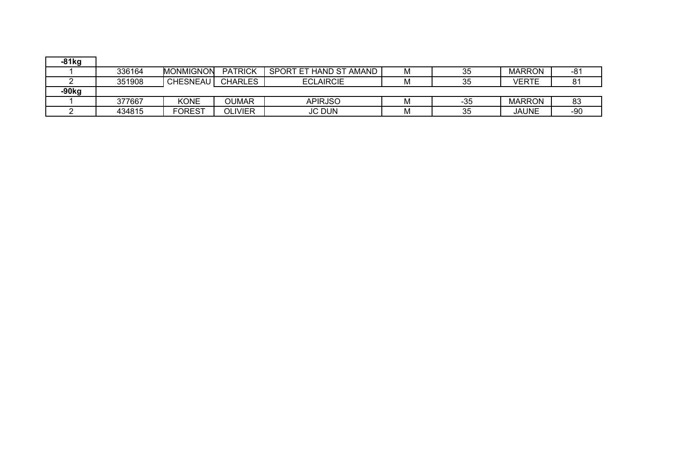| -81kg   |        |                  |                |                        |   |       |               |       |
|---------|--------|------------------|----------------|------------------------|---|-------|---------------|-------|
|         | 336164 | <b>MONMIGNON</b> | <b>PATRICK</b> | SPORT ET HAND ST AMAND | M | 35    | <b>MARRON</b> | -81   |
|         | 351908 | <b>CHESNEAU</b>  | <b>CHARLES</b> | <b>ECLAIRCIE</b>       | M | 35    | <b>VERTE</b>  | o,    |
| $-90kg$ |        |                  |                |                        |   |       |               |       |
|         | 377667 | <b>KONE</b>      | OUMAR          | <b>APIRJSO</b>         | M | $-35$ | <b>MARRON</b> | 83    |
|         | 434815 | <b>FOREST</b>    | OLIVIER        | <b>JC DUN</b>          | M | 35    | JAUNE         | $-90$ |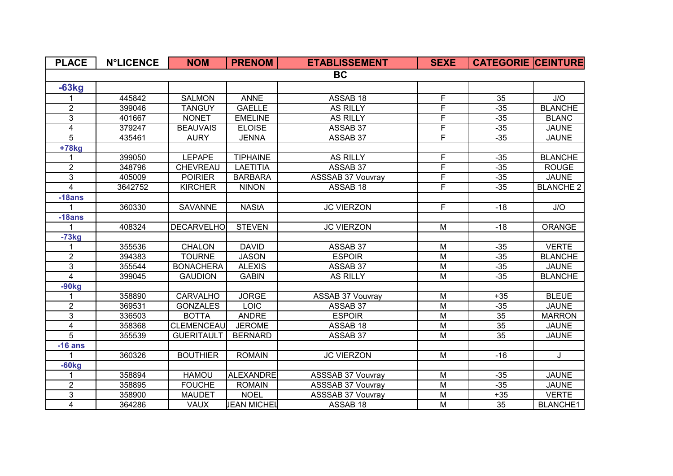| <b>PLACE</b>            | <b>N°LICENCE</b> | <b>NOM</b>        | <b>PRENOM</b>      | <b>ETABLISSEMENT</b>     | <b>SEXE</b>    | <b>CATEGORIE CEINTURE</b> |                  |
|-------------------------|------------------|-------------------|--------------------|--------------------------|----------------|---------------------------|------------------|
|                         |                  |                   |                    | <b>BC</b>                |                |                           |                  |
| $-63kg$                 |                  |                   |                    |                          |                |                           |                  |
|                         | 445842           | <b>SALMON</b>     | <b>ANNE</b>        | ASSAB 18                 | F              | $\overline{35}$           | $\overline{J/O}$ |
| $\overline{2}$          | 399046           | <b>TANGUY</b>     | <b>GAELLE</b>      | <b>AS RILLY</b>          | F              | $-35$                     | <b>BLANCHE</b>   |
| 3                       | 401667           | <b>NONET</b>      | <b>EMELINE</b>     | <b>AS RILLY</b>          | F              | $-35$                     | <b>BLANC</b>     |
| 4                       | 379247           | <b>BEAUVAIS</b>   | <b>ELOISE</b>      | ASSAB 37                 | F              | $-35$                     | <b>JAUNE</b>     |
| 5                       | 435461           | <b>AURY</b>       | <b>JENNA</b>       | ASSAB 37                 | F              | $-35$                     | <b>JAUNE</b>     |
| +78kg                   |                  |                   |                    |                          |                |                           |                  |
| 1                       | 399050           | <b>LEPAPE</b>     | <b>TIPHAINE</b>    | <b>AS RILLY</b>          | F              | $-35$                     | <b>BLANCHE</b>   |
| $\overline{c}$          | 348796           | CHEVREAU          | <b>LAETITIA</b>    | ASSAB 37                 | F              | $-35$                     | <b>ROUGE</b>     |
| 3                       | 405009           | <b>POIRIER</b>    | <b>BARBARA</b>     | <b>ASSSAB 37 Vouvray</b> | F              | $-35$                     | <b>JAUNE</b>     |
| 4                       | 3642752          | <b>KIRCHER</b>    | <b>NINON</b>       | ASSAB 18                 | F.             | $-35$                     | <b>BLANCHE 2</b> |
| $-18ans$                |                  |                   |                    |                          |                |                           |                  |
|                         | 360330           | <b>SAVANNE</b>    | <b>NAStA</b>       | <b>JC VIERZON</b>        | F              | $-18$                     | J/O              |
| $-18ans$                |                  |                   |                    |                          |                |                           |                  |
|                         | 408324           | <b>DECARVELHO</b> | <b>STEVEN</b>      | <b>JC VIERZON</b>        | M              | $-18$                     | ORANGE           |
| $-73kg$                 |                  |                   |                    |                          |                |                           |                  |
|                         | 355536           | <b>CHALON</b>     | <b>DAVID</b>       | ASSAB 37                 | M              | $-35$                     | <b>VERTE</b>     |
| $\overline{2}$          | 394383           | <b>TOURNE</b>     | <b>JASON</b>       | <b>ESPOIR</b>            | M              | $-35$                     | <b>BLANCHE</b>   |
| 3                       | 355544           | <b>BONACHERA</b>  | <b>ALEXIS</b>      | ASSAB 37                 | M              | $-35$                     | <b>JAUNE</b>     |
| $\overline{4}$          | 399045           | <b>GAUDION</b>    | <b>GABIN</b>       | <b>AS RILLY</b>          | M              | $-35$                     | <b>BLANCHE</b>   |
| $-90kg$                 |                  |                   |                    |                          |                |                           |                  |
| 1                       | 358890           | <b>CARVALHO</b>   | <b>JORGE</b>       | <b>ASSAB 37 Vouvray</b>  | M              | $+35$                     | <b>BLEUE</b>     |
| $\overline{2}$          | 369531           | <b>GONZALES</b>   | <b>LOIC</b>        | ASSAB 37                 | $\overline{M}$ | $-35$                     | <b>JAUNE</b>     |
| 3                       | 336503           | <b>BOTTA</b>      | <b>ANDRE</b>       | <b>ESPOIR</b>            | M              | $\overline{35}$           | <b>MARRON</b>    |
| 4                       | 358368           | <b>CLEMENCEAU</b> | <b>JEROME</b>      | ASSAB 18                 | $\overline{M}$ | 35                        | <b>JAUNE</b>     |
| $\overline{5}$          | 355539           | <b>GUERITAULT</b> | <b>BERNARD</b>     | ASSAB 37                 | $\overline{M}$ | $\overline{35}$           | <b>JAUNE</b>     |
| $-16$ ans               |                  |                   |                    |                          |                |                           |                  |
|                         | 360326           | <b>BOUTHIER</b>   | <b>ROMAIN</b>      | <b>JC VIERZON</b>        | M              | $-16$                     | J                |
| $-60kg$                 |                  |                   |                    |                          |                |                           |                  |
| 1                       | 358894           | <b>HAMOU</b>      | <b>ALEXANDRE</b>   | <b>ASSSAB 37 Vouvray</b> | M              | $-35$                     | <b>JAUNE</b>     |
| $\overline{2}$          | 358895           | <b>FOUCHE</b>     | <b>ROMAIN</b>      | <b>ASSSAB 37 Vouvray</b> | $\overline{M}$ | $-35$                     | <b>JAUNE</b>     |
| 3                       | 358900           | <b>MAUDET</b>     | <b>NOEL</b>        | <b>ASSSAB 37 Vouvray</b> | M              | $+35$                     | <b>VERTE</b>     |
| $\overline{\mathbf{4}}$ | 364286           | <b>VAUX</b>       | <b>JEAN MICHEL</b> | ASSAB 18                 | $\overline{M}$ | $\overline{35}$           | <b>BLANCHE1</b>  |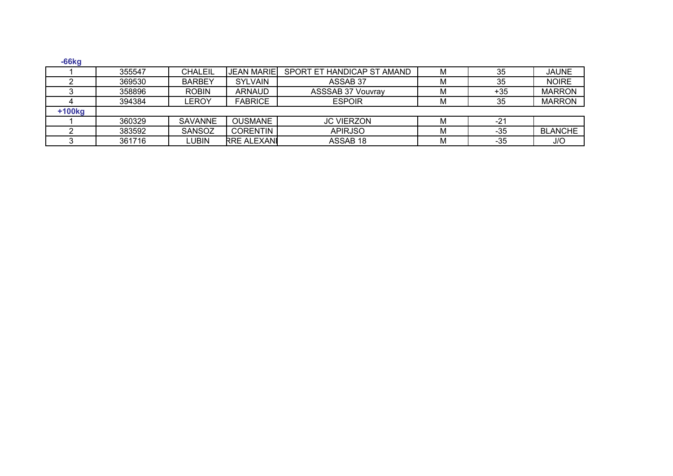| $-66kg$  |        |                |                    |                            |    |       |                |
|----------|--------|----------------|--------------------|----------------------------|----|-------|----------------|
|          | 355547 | <b>CHALEIL</b> | <b>JEAN MARIE</b>  | SPORT ET HANDICAP ST AMAND | М  | 35    | <b>JAUNE</b>   |
|          | 369530 | <b>BARBEY</b>  | <b>SYLVAIN</b>     | ASSAB 37                   | м  | 35    | <b>NOIRE</b>   |
|          | 358896 | <b>ROBIN</b>   | <b>ARNAUD</b>      | <b>ASSSAB 37 Vouvray</b>   |    | $+35$ | <b>MARRON</b>  |
|          | 394384 | LEROY          | <b>FABRICE</b>     | <b>ESPOIR</b>              |    | 35    | <b>MARRON</b>  |
| $+100kg$ |        |                |                    |                            |    |       |                |
|          | 360329 | <b>SAVANNE</b> | <b>OUSMANE</b>     | <b>JC VIERZON</b>          |    | $-21$ |                |
|          | 383592 | <b>SANSOZ</b>  | <b>CORENTIN</b>    | <b>APIRJSO</b>             | ΙV | $-35$ | <b>BLANCHE</b> |
|          | 361716 | LUBIN          | <b>RRE ALEXANI</b> | ASSAB 18                   |    | -35   | J/O            |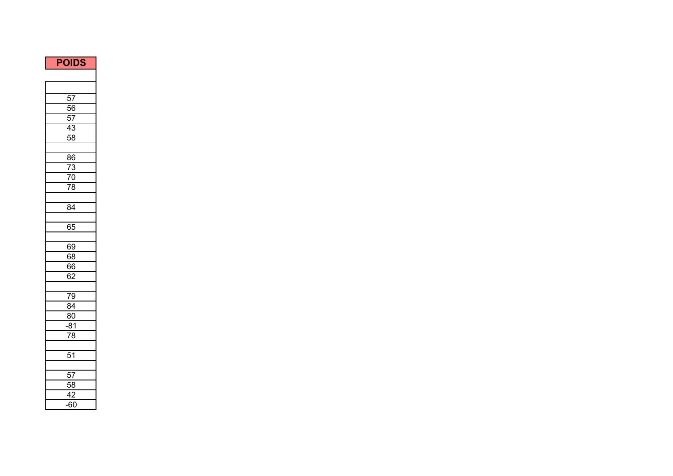| <b>POIDS</b>     |
|------------------|
|                  |
|                  |
| 57               |
| $\overline{56}$  |
| 57               |
| 43               |
| 58               |
|                  |
| $\frac{86}{5}$   |
|                  |
| $\frac{73}{70}$  |
| $\overline{78}$  |
|                  |
| $\overline{84}$  |
|                  |
| 65               |
|                  |
| 69               |
| 68               |
| 66               |
| 62               |
|                  |
| 79               |
| 84               |
| $\overline{80}$  |
| $\overline{81}$  |
| $\overline{78}$  |
|                  |
| $\overline{51}$  |
|                  |
| $\overline{57}$  |
| $\overline{58}$  |
| $\frac{42}{-60}$ |
|                  |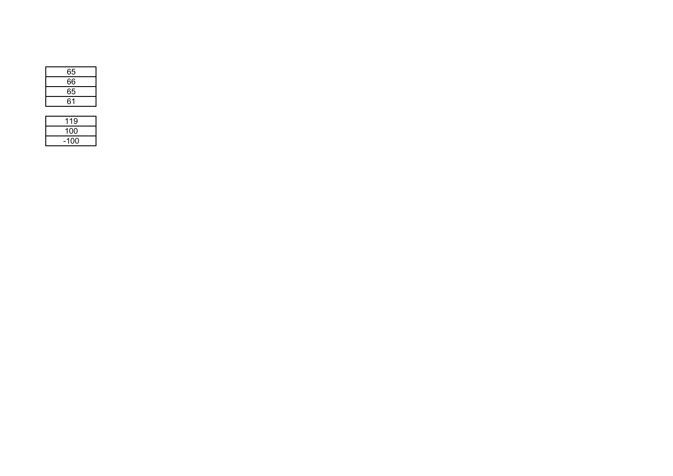| 65 |  |
|----|--|
| 66 |  |
| 65 |  |
| 61 |  |
|    |  |

| 119  |  |
|------|--|
| 100  |  |
| -100 |  |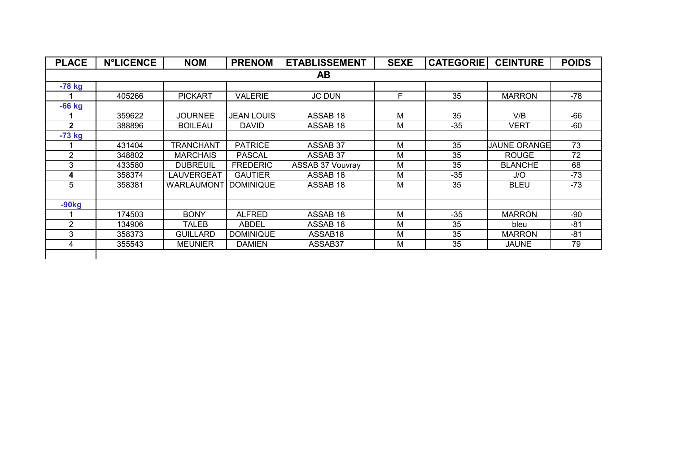| <b>PLACE</b>   | <b>N°LICENCE</b> | <b>NOM</b>        | <b>PRENOM</b>     | <b>ETABLISSEMENT</b>    | <b>SEXE</b> | <b>CATEGORIE</b> | <b>CEINTURE</b>     | <b>POIDS</b> |
|----------------|------------------|-------------------|-------------------|-------------------------|-------------|------------------|---------------------|--------------|
|                |                  |                   |                   | AB                      |             |                  |                     |              |
| -78 kg         |                  |                   |                   |                         |             |                  |                     |              |
|                | 405266           | <b>PICKART</b>    | <b>VALERIE</b>    | <b>JC DUN</b>           | F           | 35               | <b>MARRON</b>       | $-78$        |
| $-66$ kg       |                  |                   |                   |                         |             |                  |                     |              |
|                | 359622           | <b>JOURNEE</b>    | <b>JEAN LOUIS</b> | ASSAB 18                | M           | 35               | V/B                 | $-66$        |
| $\mathbf{2}$   | 388896           | <b>BOILEAU</b>    | DAVID             | ASSAB 18                | M           | $-35$            | <b>VERT</b>         | -60          |
| -73 kg         |                  |                   |                   |                         |             |                  |                     |              |
|                | 431404           | <b>TRANCHANT</b>  | <b>PATRICE</b>    | ASSAB 37                | M           | 35               | <b>JAUNE ORANGE</b> | 73           |
| $\overline{2}$ | 348802           | <b>MARCHAIS</b>   | <b>PASCAL</b>     | ASSAB 37                | M           | 35               | <b>ROUGE</b>        | 72           |
| 3              | 433580           | <b>DUBREUIL</b>   | <b>FREDERIC</b>   | <b>ASSAB 37 Vouvray</b> | M           | 35               | <b>BLANCHE</b>      | 68           |
| 4              | 358374           | <b>LAUVERGEAT</b> | <b>GAUTIER</b>    | ASSAB 18                | M           | $-35$            | J/O                 | $-73$        |
| 5              | 358381           | <b>WARLAUMONT</b> | <b>DOMINIQUE</b>  | ASSAB 18                | M           | 35               | <b>BLEU</b>         | $-73$        |
|                |                  |                   |                   |                         |             |                  |                     |              |
| $-90kg$        |                  |                   |                   |                         |             |                  |                     |              |
|                | 174503           | <b>BONY</b>       | <b>ALFRED</b>     | ASSAB 18                | M           | $-35$            | <b>MARRON</b>       | -90          |
| $\overline{2}$ | 134906           | <b>TALEB</b>      | <b>ABDEL</b>      | ASSAB 18                | М           | 35               | bleu                | $-81$        |
| 3              | 358373           | <b>GUILLARD</b>   | <b>DOMINIQUE</b>  | ASSAB <sub>18</sub>     | M           | 35               | <b>MARRON</b>       | $-81$        |
| 4              | 355543           | <b>MEUNIER</b>    | <b>DAMIEN</b>     | ASSAB37                 | M           | 35               | <b>JAUNE</b>        | 79           |
|                |                  |                   |                   |                         |             |                  |                     |              |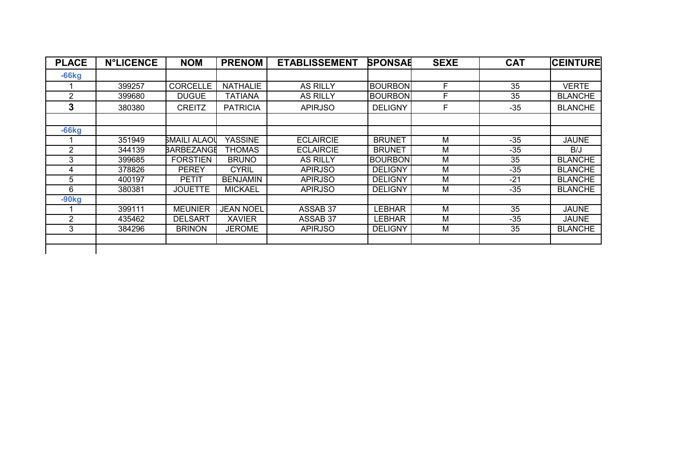| <b>PLACE</b>   | <b>N°LICENCE</b> | <b>NOM</b>        | <b>PRENOM</b>    | <b>ETABLISSEMENT</b> | <b>SPONSAE</b> | <b>SEXE</b> | <b>CAT</b> | <b>CEINTURE</b> |
|----------------|------------------|-------------------|------------------|----------------------|----------------|-------------|------------|-----------------|
| $-66kg$        |                  |                   |                  |                      |                |             |            |                 |
|                | 399257           | <b>CORCELLE</b>   | <b>NATHALIE</b>  | <b>AS RILLY</b>      | <b>BOURBON</b> | F.          | 35         | <b>VERTE</b>    |
| $\overline{2}$ | 399680           | <b>DUGUE</b>      | TATIANA          | <b>AS RILLY</b>      | <b>BOURBON</b> | F           | 35         | <b>BLANCHE</b>  |
| 3              | 380380           | <b>CREITZ</b>     | <b>PATRICIA</b>  | <b>APIRJSO</b>       | <b>DELIGNY</b> | F           | $-35$      | <b>BLANCHE</b>  |
|                |                  |                   |                  |                      |                |             |            |                 |
| $-66kg$        |                  |                   |                  |                      |                |             |            |                 |
|                | 351949           | SMAILI ALAOU      | <b>YASSINE</b>   | <b>ECLAIRCIE</b>     | <b>BRUNET</b>  | М           | $-35$      | <b>JAUNE</b>    |
| 2              | 344139           | <b>BARBEZANGE</b> | THOMAS           | <b>ECLAIRCIE</b>     | <b>BRUNET</b>  | M           | $-35$      | B/J             |
| 3              | 399685           | <b>FORSTIEN</b>   | <b>BRUNO</b>     | <b>AS RILLY</b>      | <b>BOURBON</b> | M           | 35         | <b>BLANCHE</b>  |
| 4              | 378826           | <b>PEREY</b>      | <b>CYRIL</b>     | <b>APIRJSO</b>       | <b>DELIGNY</b> | M           | $-35$      | <b>BLANCHE</b>  |
| 5              | 400197           | PETIT             | <b>BENJAMIN</b>  | <b>APIRJSO</b>       | <b>DELIGNY</b> | M           | $-21$      | <b>BLANCHE</b>  |
| 6              | 380381           | <b>JOUETTE</b>    | <b>MICKAEL</b>   | <b>APIRJSO</b>       | <b>DELIGNY</b> | м           | $-35$      | <b>BLANCHE</b>  |
| $-90kg$        |                  |                   |                  |                      |                |             |            |                 |
|                | 399111           | <b>MEUNIER</b>    | <b>JEAN NOEL</b> | ASSAB 37             | LEBHAR         | M           | 35         | <b>JAUNE</b>    |
| $\overline{2}$ | 435462           | <b>DELSART</b>    | <b>XAVIER</b>    | ASSAB 37             | <b>LEBHAR</b>  | M           | $-35$      | <b>JAUNE</b>    |
| 3              | 384296           | <b>BRINON</b>     | <b>JEROME</b>    | <b>APIRJSO</b>       | <b>DELIGNY</b> | M           | 35         | <b>BLANCHE</b>  |
|                |                  |                   |                  |                      |                |             |            |                 |
|                |                  |                   |                  |                      |                |             |            |                 |